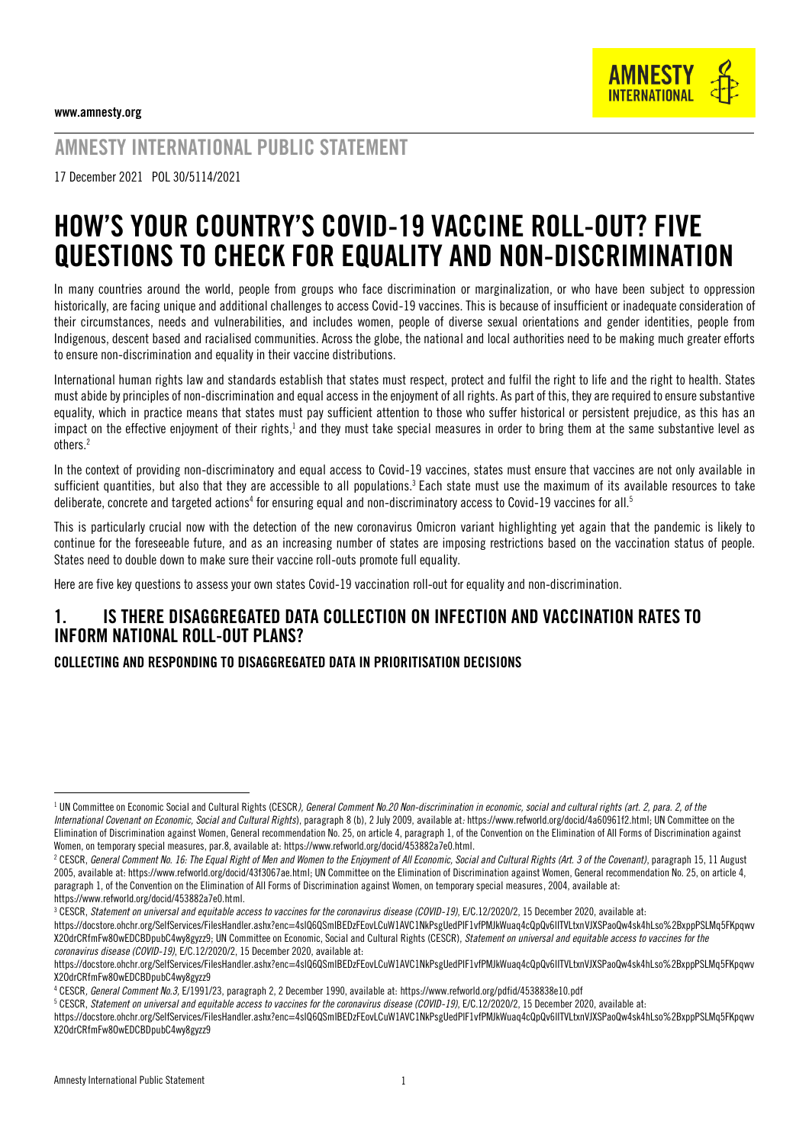

# AMNESTY INTERNATIONAL PUBLIC STATEMENT

17 December 2021 POL 30/5114/2021

# HOW'S YOUR COUNTRY'S COVID-19 VACCINE ROLL-OUT? FIVE QUESTIONS TO CHECK FOR EQUALITY AND NON-DISCRIMINATION

In many countries around the world, people from groups who face discrimination or marginalization, or who have been subject to oppression historically, are facing unique and additional challenges to access Covid-19 vaccines. This is because of insufficient or inadequate consideration of their circumstances, needs and vulnerabilities, and includes women, people of diverse sexual orientations and gender identities, people from Indigenous, descent based and racialised communities. Across the globe, the national and local authorities need to be making much greater efforts to ensure non-discrimination and equality in their vaccine distributions.

International human rights law and standards establish that states must respect, protect and fulfil the right to life and the right to health. States must abide by principles of non-discrimination and equal access in the enjoyment of all rights. As part of this, they are required to ensure substantive equality, which in practice means that states must pay sufficient attention to those who suffer historical or persistent prejudice, as this has an impact on the effective enjoyment of their rights,<sup>1</sup> and they must take special measures in order to bring them at the same substantive level as others. 2

In the context of providing non-discriminatory and equal access to Covid-19 vaccines, states must ensure that vaccines are not only available in sufficient quantities, but also that they are accessible to all populations. $^3$  Each state must use the maximum of its available resources to take deliberate, concrete and targeted actions<sup>4</sup> for ensuring equal and non-discriminatory access to Covid-19 vaccines for all.<sup>5</sup>

This is particularly crucial now with the detection of the new coronavirus Omicron variant highlighting yet again that the pandemic is likely to continue for the foreseeable future, and as an increasing number of states are imposing restrictions based on the vaccination status of people. States need to double down to make sure their vaccine roll-outs promote full equality.

Here are five key questions to assess your own states Covid-19 vaccination roll-out for equality and non-discrimination.

# 1. IS THERE DISAGGREGATED DATA COLLECTION ON INFECTION AND VACCINATION RATES TO INFORM NATIONAL ROLL-OUT PLANS?

#### COLLECTING AND RESPONDING TO DISAGGREGATED DATA IN PRIORITISATION DECISIONS

<sup>&</sup>lt;sup>1</sup> UN Committee on Economic Social and Cultural Rights (CESCR*), General Comment No.20 Non-discrimination in economic, social and cultural rights (art. 2, para. 2, of the International Covenant on Economic, Social and Cultural Rights*), paragraph 8 (b), 2 July 2009, available at*:* [https://www.refworld.org/docid/4a60961f2.html;](https://www.refworld.org/docid/4a60961f2.html) UN Committee on the Elimination of Discrimination against Women, General recommendation No. 25, on article 4, paragraph 1, of the Convention on the Elimination of All Forms of Discrimination against Women, on temporary special measures, par.8, available at[: https://www.refworld.org/docid/453882a7e0.html.](https://www.refworld.org/docid/453882a7e0.html) 

<sup>&</sup>lt;sup>2</sup> CESCR, General Comment No. 16: The Equal Right of Men and Women to the Enjoyment of All Economic, Social and Cultural Rights (Art. 3 of the Covenant), paragraph 15, 11 August 2005, available at[: https://www.refworld.org/docid/43f3067ae.html;](https://www.refworld.org/docid/43f3067ae.html) UN Committee on the Elimination of Discrimination against Women, General recommendation No. 25, on article 4, paragraph 1, of the Convention on the Elimination of All Forms of Discrimination against Women, on temporary special measures, 2004, available at: https://www.refworld.org/docid/453882a7e0.html.

<sup>&</sup>lt;sup>3</sup> CESCR, *Statement on universal and equitable access to vaccines for the coronavirus disease (COVID-19)*, E/C.12/2020/2, 15 December 2020, available at:

[https://docstore.ohchr.org/SelfServices/FilesHandler.ashx?enc=4slQ6QSmlBEDzFEovLCuW1AVC1NkPsgUedPlF1vfPMJkWuaq4cQpQv6lITVLtxnVJXSPaoQw4sk4hLso%2BxppPSLMq5FKpqwv](https://docstore.ohchr.org/SelfServices/FilesHandler.ashx?enc=4slQ6QSmlBEDzFEovLCuW1AVC1NkPsgUedPlF1vfPMJkWuaq4cQpQv6lITVLtxnVJXSPaoQw4sk4hLso%2BxppPSLMq5FKpqwvX2OdrCRfmFw8OwEDCBDpubC4wy8gyzz9) [X2OdrCRfmFw8OwEDCBDpubC4wy8gyzz9;](https://docstore.ohchr.org/SelfServices/FilesHandler.ashx?enc=4slQ6QSmlBEDzFEovLCuW1AVC1NkPsgUedPlF1vfPMJkWuaq4cQpQv6lITVLtxnVJXSPaoQw4sk4hLso%2BxppPSLMq5FKpqwvX2OdrCRfmFw8OwEDCBDpubC4wy8gyzz9) UN Committee on Economic, Social and Cultural Rights (CESCR), *Statement on universal and equitable access to vaccines for the coronavirus disease (COVID-19)*, E/C.12/2020/2, 15 December 2020, available at:

[https://docstore.ohchr.org/SelfServices/FilesHandler.ashx?enc=4slQ6QSmlBEDzFEovLCuW1AVC1NkPsgUedPlF1vfPMJkWuaq4cQpQv6lITVLtxnVJXSPaoQw4sk4hLso%2BxppPSLMq5FKpqwv](https://docstore.ohchr.org/SelfServices/FilesHandler.ashx?enc=4slQ6QSmlBEDzFEovLCuW1AVC1NkPsgUedPlF1vfPMJkWuaq4cQpQv6lITVLtxnVJXSPaoQw4sk4hLso%2BxppPSLMq5FKpqwvX2OdrCRfmFw8OwEDCBDpubC4wy8gyzz9) [X2OdrCRfmFw8OwEDCBDpubC4wy8gyzz9](https://docstore.ohchr.org/SelfServices/FilesHandler.ashx?enc=4slQ6QSmlBEDzFEovLCuW1AVC1NkPsgUedPlF1vfPMJkWuaq4cQpQv6lITVLtxnVJXSPaoQw4sk4hLso%2BxppPSLMq5FKpqwvX2OdrCRfmFw8OwEDCBDpubC4wy8gyzz9)

<sup>4</sup> CESCR*, General Comment No.3,* E/1991/23, paragraph 2, 2 December 1990, available at[: https://www.refworld.org/pdfid/4538838e10.pdf](https://www.refworld.org/pdfid/4538838e10.pdf)

<sup>5</sup> CESCR, *Statement on universal and equitable access to vaccines for the coronavirus disease (COVID-19)*, E/C.12/2020/2, 15 December 2020, available at:

[https://docstore.ohchr.org/SelfServices/FilesHandler.ashx?enc=4slQ6QSmlBEDzFEovLCuW1AVC1NkPsgUedPlF1vfPMJkWuaq4cQpQv6lITVLtxnVJXSPaoQw4sk4hLso%2BxppPSLMq5FKpqwv](https://docstore.ohchr.org/SelfServices/FilesHandler.ashx?enc=4slQ6QSmlBEDzFEovLCuW1AVC1NkPsgUedPlF1vfPMJkWuaq4cQpQv6lITVLtxnVJXSPaoQw4sk4hLso%2BxppPSLMq5FKpqwvX2OdrCRfmFw8OwEDCBDpubC4wy8gyzz9) [X2OdrCRfmFw8OwEDCBDpubC4wy8gyzz9](https://docstore.ohchr.org/SelfServices/FilesHandler.ashx?enc=4slQ6QSmlBEDzFEovLCuW1AVC1NkPsgUedPlF1vfPMJkWuaq4cQpQv6lITVLtxnVJXSPaoQw4sk4hLso%2BxppPSLMq5FKpqwvX2OdrCRfmFw8OwEDCBDpubC4wy8gyzz9)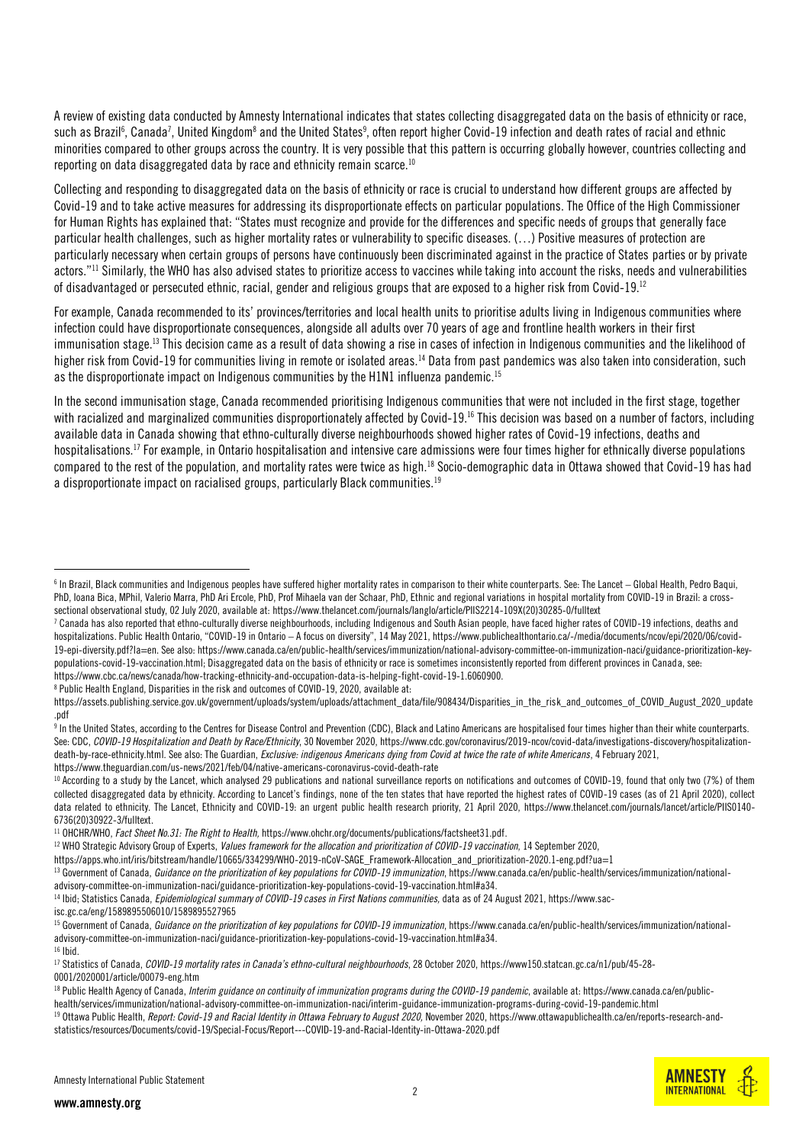A review of existing data conducted by Amnesty International indicates that states collecting disaggregated data on the basis of ethnicity or race, such as Brazil<sup>6</sup>, Canada<sup>7</sup>, United Kingdom<sup>8</sup> and the United States<sup>9</sup>, often report higher Covid-19 infection and death rates of racial and ethnic minorities compared to other groups across the country. It is very possible that this pattern is occurring globally however, countries collecting and reporting on data disaggregated data by race and ethnicity remain scarce. 10

Collecting and responding to disaggregated data on the basis of ethnicity or race is crucial to understand how different groups are affected by Covid-19 and to take active measures for addressing its disproportionate effects on particular populations. The Office of the High Commissioner for Human Rights has explained that: "States must recognize and provide for the differences and specific needs of groups that generally face particular health challenges, such as higher mortality rates or vulnerability to specific diseases. (…) Positive measures of protection are particularly necessary when certain groups of persons have continuously been discriminated against in the practice of States parties or by private actors."<sup>11</sup> Similarly, the WHO has also advised states to prioritize access to vaccines while taking into account the risks, needs and vulnerabilities of disadvantaged or persecuted ethnic, racial, gender and religious groups that are exposed to a higher risk from Covid-19.<sup>12</sup>

For example, Canada recommended to its' provinces/territories and local health units to prioritise adults living in Indigenous communities where infection could have disproportionate consequences, alongside all adults over 70 years of age and frontline health workers in their first immunisation stage.<sup>13</sup> This decision came as a result of data showing a rise in cases of infection in Indigenous communities and the likelihood of higher risk from Covid-19 for communities living in remote or isolated areas.<sup>14</sup> Data from past pandemics was also taken into consideration, such as the disproportionate impact on Indigenous communities by the H1N1 influenza pandemic.<sup>15</sup>

In the second immunisation stage, Canada recommended prioritising Indigenous communities that were not included in the first stage, together with racialized and marginalized communities disproportionately affected by Covid-19.<sup>16</sup> This decision was based on a number of factors, including available data in Canada showing that ethno-culturally diverse neighbourhoods showed higher rates of Covid-19 infections, deaths and hospitalisations.<sup>17</sup> For example, in Ontario hospitalisation and intensive care admissions were four times higher for ethnically diverse populations compared to the rest of the population, and mortality rates were twice as high.<sup>18</sup> Socio-demographic data in Ottawa showed that Covid-19 has had a disproportionate impact on racialised groups, particularly Black communities.<sup>19</sup>

<sup>8</sup> Public Health England, Disparities in the risk and outcomes of COVID-19, 2020, available at:

<sup>11</sup> OHCHR/WHO, *Fact Sheet No.31: The Right to Health,* [https://www.ohchr.org/documents/publications/factsheet31.pdf.](https://www.ohchr.org/documents/publications/factsheet31.pdf)

<sup>14</sup> Ibid; Statistics Canada, *Epidemiological summary of COVID-19 cases in First Nations communities*, data as of 24 August 2021, https://www.sac-

isc.gc.ca/eng/1589895506010/1589895527965



 $^6$  In Brazil, Black communities and Indigenous peoples have suffered higher mortality rates in comparison to their white counterparts. See: The Lancet – Global Health, Pedro Baqui, PhD, Ioana Bica, MPhil, Valerio Marra, PhD Ari Ercole, PhD, Prof Mihaela van der Schaar, PhD, Ethnic and regional variations in hospital mortality from COVID-19 in Brazil: a crosssectional observational study, 02 July 2020, available at[: https://www.thelancet.com/journals/langlo/article/PIIS2214-109X\(20\)30285-0/fulltext](https://www.thelancet.com/journals/langlo/article/PIIS2214-109X(20)30285-0/fulltext)

<sup>&</sup>lt;sup>7</sup> Canada has also reported that ethno-culturally diverse neighbourhoods, including Indigenous and South Asian people, have faced higher rates of COVID-19 infections, deaths and hospitalizations. Public Health Ontario, "COVID-19 in Ontario – A focus on diversity", 14 May 2021, [https://www.publichealthontario.ca/-/media/documents/ncov/epi/2020/06/covid-](https://www.publichealthontario.ca/-/media/documents/ncov/epi/2020/06/covid-19-epi-diversity.pdf?la=en)[19-epi-diversity.pdf?la=en.](https://www.publichealthontario.ca/-/media/documents/ncov/epi/2020/06/covid-19-epi-diversity.pdf?la=en) See also[: https://www.canada.ca/en/public-health/services/immunization/national-advisory-committee-on-immunization-naci/guidance-prioritization-key](https://www.canada.ca/en/public-health/services/immunization/national-advisory-committee-on-immunization-naci/guidance-prioritization-key-populations-covid-19-vaccination.html)[populations-covid-19-vaccination.html;](https://www.canada.ca/en/public-health/services/immunization/national-advisory-committee-on-immunization-naci/guidance-prioritization-key-populations-covid-19-vaccination.html) Disaggregated data on the basis of ethnicity or race is sometimes inconsistently reported from different provinces in Canada, see: [https://www.cbc.ca/news/canada/how-tracking-ethnicity-and-occupation-data-is-helping-fight-covid-19-1.6060900.](https://www.cbc.ca/news/canada/how-tracking-ethnicity-and-occupation-data-is-helping-fight-covid-19-1.6060900) 

https://assets.publishing.service.gov.uk/government/uploads/system/uploads/attachment\_data/file/908434/Disparities\_in\_the\_risk\_and\_outcomes\_of\_COVID\_August\_2020\_update .pdf

<sup>&</sup>lt;sup>9</sup> In the United States, according to the Centres for Disease Control and Prevention (CDC), Black and Latino Americans are hospitalised four times higher than their white counterparts. See: CDC, *COVID-19 Hospitalization and Death by Race/Ethnicity*, 30 November 2020[, https://www.cdc.gov/coronavirus/2019-ncov/covid-data/investigations-discovery/hospitalization](https://www.cdc.gov/coronavirus/2019-ncov/covid-data/investigations-discovery/hospitalization-death-by-race-ethnicity.html)[death-by-race-ethnicity.html.](https://www.cdc.gov/coronavirus/2019-ncov/covid-data/investigations-discovery/hospitalization-death-by-race-ethnicity.html) See also: The Guardian, *Exclusive: indigenous Americans dying from Covid at twice the rate of white Americans*, 4 February 2021, <https://www.theguardian.com/us-news/2021/feb/04/native-americans-coronavirus-covid-death-rate>

<sup>&</sup>lt;sup>10</sup> According to a study by the Lancet, which analysed 29 publications and national surveillance reports on notifications and outcomes of COVID-19, found that only two (7%) of them collected disaggregated data by ethnicity. According to Lancet's findings, none of the ten states that have reported the highest rates of COVID-19 cases (as of 21 April 2020), collect data related to ethnicity. The Lancet, Ethnicity and COVID-19: an urgent public health research priority, 21 April 2020, [https://www.thelancet.com/journals/lancet/article/PIIS0140-](https://www.thelancet.com/journals/lancet/article/PIIS0140-6736(20)30922-3/fulltext) [6736\(20\)30922-3/fulltext.](https://www.thelancet.com/journals/lancet/article/PIIS0140-6736(20)30922-3/fulltext) 

<sup>12</sup> WHO Strategic Advisory Group of Experts, *Values framework for the allocation and prioritization of COVID-19 vaccination*, 14 September 2020,

[https://apps.who.int/iris/bitstream/handle/10665/334299/WHO-2019-nCoV-SAGE\\_Framework-Allocation\\_and\\_prioritization-2020.1-eng.pdf?ua=1](https://apps.who.int/iris/bitstream/handle/10665/334299/WHO-2019-nCoV-SAGE_Framework-Allocation_and_prioritization-2020.1-eng.pdf?ua=1)

<sup>&</sup>lt;sup>13</sup> Government of Canada. *Guidance on the prioritization of key populations for COVID-19 immunization*[, https://www.canada.ca/en/public-health/services/immunization/national](https://www.canada.ca/en/public-health/services/immunization/national-advisory-committee-on-immunization-naci/guidance-prioritization-key-populations-covid-19-vaccination.html#a34)[advisory-committee-on-immunization-naci/guidance-prioritization-key-populations-covid-19-vaccination.html#a34.](https://www.canada.ca/en/public-health/services/immunization/national-advisory-committee-on-immunization-naci/guidance-prioritization-key-populations-covid-19-vaccination.html#a34)

<sup>&</sup>lt;sup>15</sup> Government of Canada, *Guidance on the prioritization of key populations for COVID-19 immunization*[, https://www.canada.ca/en/public-health/services/immunization/national](https://www.canada.ca/en/public-health/services/immunization/national-advisory-committee-on-immunization-naci/guidance-prioritization-key-populations-covid-19-vaccination.html#a34)[advisory-committee-on-immunization-naci/guidance-prioritization-key-populations-covid-19-vaccination.html#a34.](https://www.canada.ca/en/public-health/services/immunization/national-advisory-committee-on-immunization-naci/guidance-prioritization-key-populations-covid-19-vaccination.html#a34)  $16$  Ibid.

<sup>17</sup> Statistics of Canada, *COVID-19 mortality rates in Canada's ethno-cultural neighbourhoods*, 28 October 2020[, https://www150.statcan.gc.ca/n1/pub/45-28-](https://www150.statcan.gc.ca/n1/pub/45-28-0001/2020001/article/00079-eng.htm) [0001/2020001/article/00079-eng.htm](https://www150.statcan.gc.ca/n1/pub/45-28-0001/2020001/article/00079-eng.htm)

<sup>&</sup>lt;sup>18</sup> Public Health Agency of Canada, *Interim guidance on continuity of immunization programs during the COVID-19 pandemic*, available at: https://www.canada.ca/en/publichealth/services/immunization/national-advisory-committee-on-immunization-naci/interim-guidance-immunization-programs-during-covid-19-pandemic.html

<sup>&</sup>lt;sup>19</sup> Ottawa Public Health, *Report: Covid-19 and Racial Identity in Ottawa February to August 2020*, November 2020, https://www.ottawapublichealth.ca/en/reports-research-andstatistics/resources/Documents/covid-19/Special-Focus/Report---COVID-19-and-Racial-Identity-in-Ottawa-2020.pdf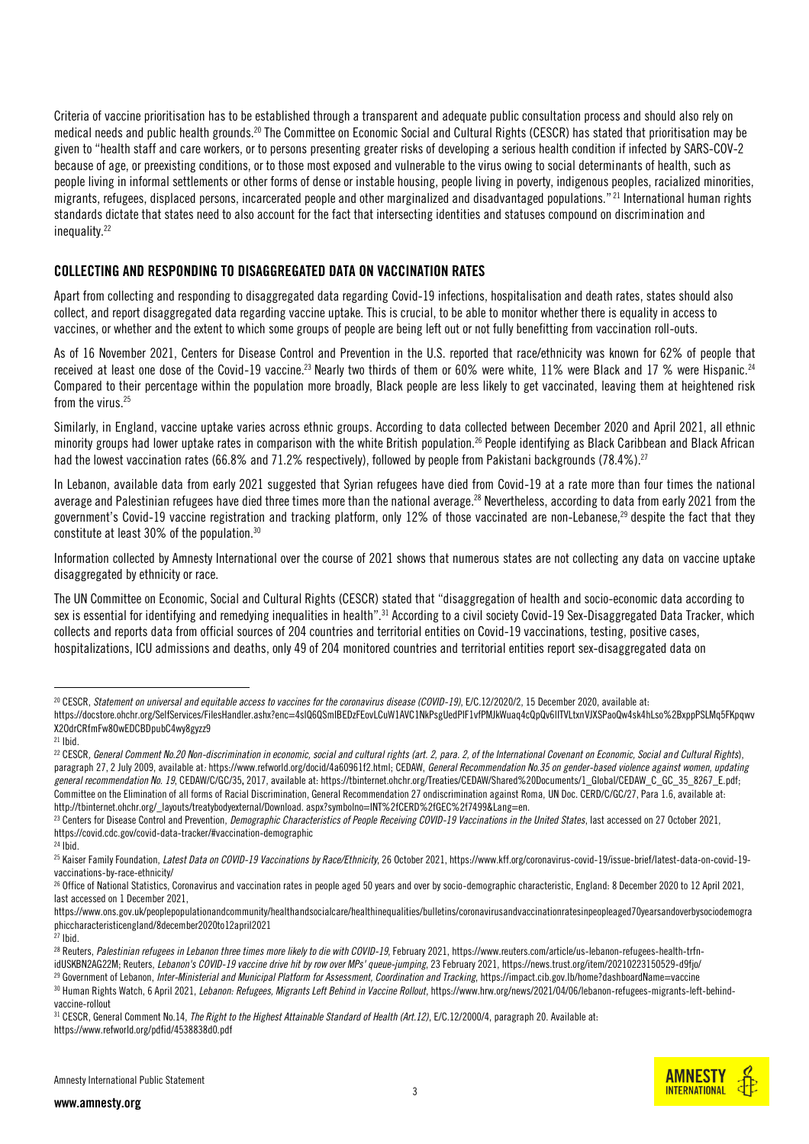Criteria of vaccine prioritisation has to be established through a transparent and adequate public consultation process and should also rely on medical needs and public health grounds.<sup>20</sup> The Committee on Economic Social and Cultural Rights (CESCR) has stated that prioritisation may be given to "health staff and care workers, or to persons presenting greater risks of developing a serious health condition if infected by SARS-COV-2 because of age, or preexisting conditions, or to those most exposed and vulnerable to the virus owing to social determinants of health, such as people living in informal settlements or other forms of dense or instable housing, people living in poverty, indigenous peoples, racialized minorities, migrants, refugees, displaced persons, incarcerated people and other marginalized and disadvantaged populations." <sup>21</sup> International human rights standards dictate that states need to also account for the fact that intersecting identities and statuses compound on discrimination and inequality.<sup>22</sup>

#### COLLECTING AND RESPONDING TO DISAGGREGATED DATA ON VACCINATION RATES

Apart from collecting and responding to disaggregated data regarding Covid-19 infections, hospitalisation and death rates, states should also collect, and report disaggregated data regarding vaccine uptake. This is crucial, to be able to monitor whether there is equality in access to vaccines, or whether and the extent to which some groups of people are being left out or not fully benefitting from vaccination roll-outs.

As of 16 November 2021, Centers for Disease Control and Prevention in the U.S. reported that race/ethnicity was known for 62% of people that received at least one dose of the Covid-19 vaccine.<sup>23</sup> Nearly two thirds of them or 60% were white, 11% were Black and 17 % were Hispanic.<sup>24</sup> Compared to their percentage within the population more broadly, Black people are less likely to get vaccinated, leaving them at heightened risk from the virus.<sup>25</sup>

Similarly, in England, vaccine uptake varies across ethnic groups. According to data collected between December 2020 and April 2021, all ethnic minority groups had lower uptake rates in comparison with the white British population.<sup>26</sup> People identifying as Black Caribbean and Black African had the lowest vaccination rates (66.8% and 71.2% respectively), followed by people from Pakistani backgrounds (78.4%).<sup>27</sup>

In Lebanon, available data from early 2021 suggested that Syrian refugees have died from Covid-19 at a rate more than four times the national average and Palestinian refugees have died three times more than the national average.<sup>28</sup> Nevertheless, according to data from early 2021 from the government's Covid-19 vaccine registration and tracking platform, only 12% of those vaccinated are non-Lebanese.<sup>29</sup> despite the fact that they constitute at least 30% of the population.<sup>30</sup>

Information collected by Amnesty International over the course of 2021 shows that numerous states are not collecting any data on vaccine uptake disaggregated by ethnicity or race.

The UN Committee on Economic, Social and Cultural Rights (CESCR) stated that "disaggregation of health and socio-economic data according to sex is essential for identifying and remedying inequalities in health".<sup>31</sup> According to a civil society Covid-19 Sex-Disaggregated Data Tracker, which collects and reports data from official sources of 204 countries and territorial entities on Covid-19 vaccinations, testing, positive cases, hospitalizations, ICU admissions and deaths, only 49 of 204 monitored countries and territorial entities report sex-disaggregated data on



<sup>20</sup> CESCR, *Statement on universal and equitable access to vaccines for the coronavirus disease (COVID-19)*, E/C.12/2020/2, 15 December 2020, available at:

[https://docstore.ohchr.org/SelfServices/FilesHandler.ashx?enc=4slQ6QSmlBEDzFEovLCuW1AVC1NkPsgUedPlF1vfPMJkWuaq4cQpQv6lITVLtxnVJXSPaoQw4sk4hLso%2BxppPSLMq5FKpqwv](https://docstore.ohchr.org/SelfServices/FilesHandler.ashx?enc=4slQ6QSmlBEDzFEovLCuW1AVC1NkPsgUedPlF1vfPMJkWuaq4cQpQv6lITVLtxnVJXSPaoQw4sk4hLso%2BxppPSLMq5FKpqwvX2OdrCRfmFw8OwEDCBDpubC4wy8gyzz9) [X2OdrCRfmFw8OwEDCBDpubC4wy8gyzz9](https://docstore.ohchr.org/SelfServices/FilesHandler.ashx?enc=4slQ6QSmlBEDzFEovLCuW1AVC1NkPsgUedPlF1vfPMJkWuaq4cQpQv6lITVLtxnVJXSPaoQw4sk4hLso%2BxppPSLMq5FKpqwvX2OdrCRfmFw8OwEDCBDpubC4wy8gyzz9)

 $21$  Ibid.

<sup>22</sup> CESCR*, General Comment No.20 Non-discrimination in economic, social and cultural rights (art. 2, para. 2, of the International Covenant on Economic, Social and Cultural Rights*), paragraph 27, 2 July 2009, available at*:* https://www.refworld.org/docid/4a60961f2.html; CEDAW, *General Recommendation No.35 on gender-based violence against women, updating general recommendation No. 19*, CEDAW/C/GC/35, 2017, available at: https://tbinternet.ohchr.org/Treaties/CEDAW/Shared%20Documents/1\_Global/CEDAW\_C\_GC\_35\_8267\_E.pdf; Committee on the Elimination of all forms of Racial Discrimination, General Recommendation 27 ondiscrimination against Roma, UN Doc. CERD/C/GC/27, Para 1.6, available at: http://tbinternet.ohchr.org/\_layouts/treatybodyexternal/Download. aspx?symbolno=INT%2fCERD%2fGEC%2f7499&Lang=en.

<sup>&</sup>lt;sup>23</sup> Centers for Disease Control and Prevention, *Demographic Characteristics of People Receiving COVID-19 Vaccinations in the United States, last accessed on 27 October 2021,* <https://covid.cdc.gov/covid-data-tracker/#vaccination-demographic>

<sup>24</sup> Ibid.

<sup>25</sup> Kaiser Family Foundation, *Latest Data on COVID-19 Vaccinations by Race/Ethnicity*, 26 October 2021, https://www.kff.org/coronavirus-covid-19/issue-brief/latest-data-on-covid-19 vaccinations-by-race-ethnicity/

 $^{26}$  Office of National Statistics, Coronavirus and vaccination rates in people aged 50 years and over by socio-demographic characteristic, England: 8 December 2020 to 12 April 2021, last accessed on 1 December 2021,

[https://www.ons.gov.uk/peoplepopulationandcommunity/healthandsocialcare/healthinequalities/bulletins/coronavirusandvaccinationratesinpeopleaged70yearsandoverbysociodemogra](https://www.ons.gov.uk/peoplepopulationandcommunity/healthandsocialcare/healthinequalities/bulletins/coronavirusandvaccinationratesinpeopleaged70yearsandoverbysociodemographiccharacteristicengland/8december2020to12april2021) [phiccharacteristicengland/8december2020to12april2021](https://www.ons.gov.uk/peoplepopulationandcommunity/healthandsocialcare/healthinequalities/bulletins/coronavirusandvaccinationratesinpeopleaged70yearsandoverbysociodemographiccharacteristicengland/8december2020to12april2021)

<sup>27</sup> Ibid.

<sup>28</sup> Reuters, *Palestinian refugees in Lebanon three times more likely to die with COVID-19*, February 2021[, https://www.reuters.com/article/us-lebanon-refugees-health-trfn](https://www.reuters.com/article/us-lebanon-refugees-health-trfn-idUSKBN2AG22M)[idUSKBN2AG22M;](https://www.reuters.com/article/us-lebanon-refugees-health-trfn-idUSKBN2AG22M) Reuters, *Lebanon's COVID-19 vaccine drive hit by row over MPs' queue-jumping*, 23 February 2021[, https://news.trust.org/item/20210223150529-d9fjo/](https://news.trust.org/item/20210223150529-d9fjo/) <sup>29</sup> Government of Lebanon, *Inter-Ministerial and Municipal Platform for Assessment, Coordination and Tracking*, https://impact.cib.gov.lb/home?dashboardName=vaccine

<sup>&</sup>lt;sup>30</sup> Human Rights Watch, 6 April 2021, *Lebanon: Refugees, Migrants Left Behind in Vaccine Rollout*, https://www.hrw.org/news/2021/04/06/lebanon-refugees-migrants-left-behindvaccine-rollout

<sup>31</sup> CESCR, General Comment No.14, *The Right to the Highest Attainable Standard of Health (Art.12)*, E/C.12/2000/4, paragraph 20. Available at: https://www.refworld.org/pdfid/4538838d0.pdf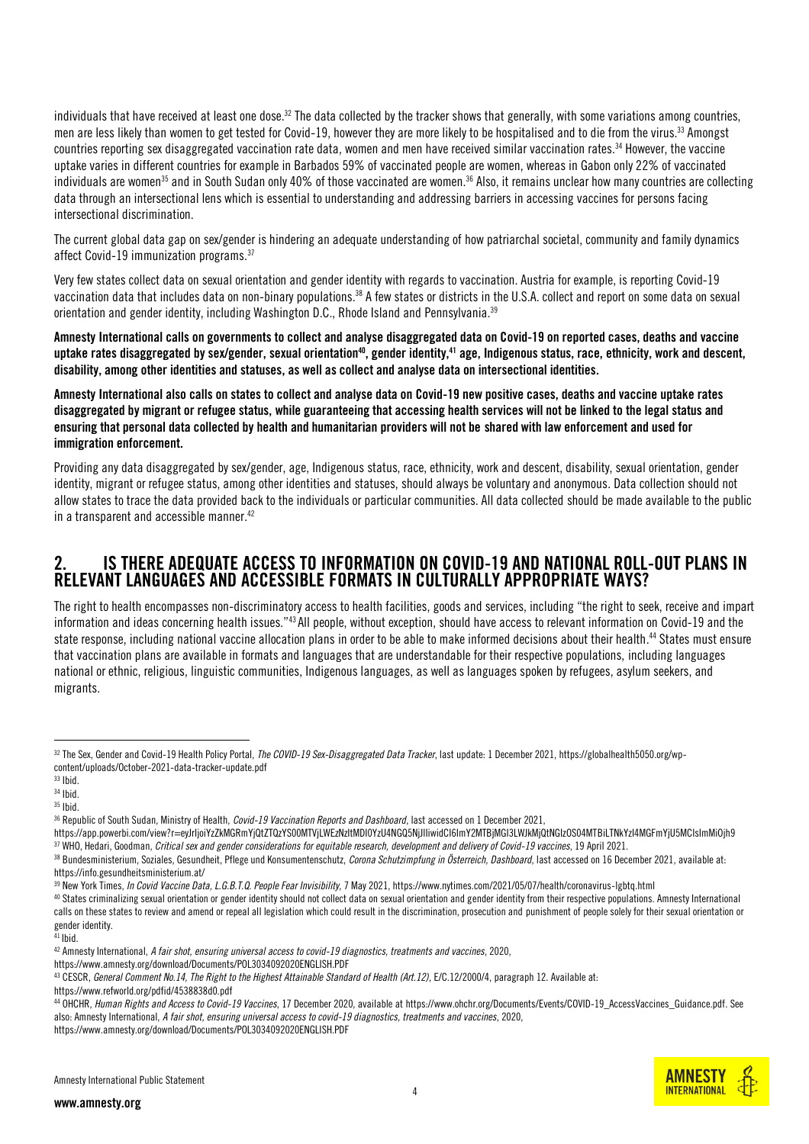individuals that have received at least one dose.<sup>32</sup> The data collected by the tracker shows that generally, with some variations among countries, men are less likely than women to get tested for Covid-19, however they are more likely to be hospitalised and to die from the virus.<sup>33</sup> Amongst countries reporting sex disaggregated vaccination rate data, women and men have received similar vaccination rates.<sup>34</sup> However, the vaccine uptake varies in different countries for example in Barbados 59% of vaccinated people are women, whereas in Gabon only 22% of vaccinated individuals are women<sup>35</sup> and in South Sudan only 40% of those vaccinated are women.<sup>36</sup> Also, it remains unclear how many countries are collecting data through an intersectional lens which is essential to understanding and addressing barriers in accessing vaccines for persons facing intersectional discrimination.

The current global data gap on sex/gender is hindering an adequate understanding of how patriarchal societal, community and family dynamics affect Covid-19 immunization programs.<sup>37</sup>

Very few states collect data on sexual orientation and gender identity with regards to vaccination. Austria for example, is reporting Covid-19 vaccination data that includes data on non-binary populations.<sup>38</sup> A few states or districts in the U.S.A. collect and report on some data on sexual orientation and gender identity, including Washington D.C., Rhode Island and Pennsylvania.<sup>39</sup>

Amnesty International calls on governments to collect and analyse disaggregated data on Covid-19 on reported cases, deaths and vaccine uptake rates disaggregated by sex/gender, sexual orientation<sup>40</sup>, gender identity,<sup>41</sup> age, Indigenous status, race, ethnicity, work and descent, disability, among other identities and statuses, as well as collect and analyse data on intersectional identities.

Amnesty International also calls on states to collect and analyse data on Covid-19 new positive cases, deaths and vaccine uptake rates disaggregated by migrant or refugee status, while guaranteeing that accessing health services will not be linked to the legal status and ensuring that personal data collected by health and humanitarian providers will not be shared with law enforcement and used for immigration enforcement.

Providing any data disaggregated by sex/gender, age, Indigenous status, race, ethnicity, work and descent, disability, sexual orientation, gender identity, migrant or refugee status, among other identities and statuses, should always be voluntary and anonymous. Data collection should not allow states to trace the data provided back to the individuals or particular communities. All data collected should be made available to the public in a transparent and accessible manner. 42

## 2. IS THERE ADEQUATE ACCESS TO INFORMATION ON COVID-19 AND NATIONAL ROLL-OUT PLANS IN RELEVANT LANGUAGES AND ACCESSIBLE FORMATS IN CULTURALLY APPROPRIATE WAYS?

The right to health encompasses non-discriminatory access to health facilities, goods and services, including "the right to seek, receive and impart information and ideas concerning health issues."<sup>43</sup> All people, without exception, should have access to relevant information on Covid-19 and the state response, including national vaccine allocation plans in order to be able to make informed decisions about their health. <sup>44</sup> States must ensure that vaccination plans are available in formats and languages that are understandable for their respective populations, including languages national or ethnic, religious, linguistic communities, Indigenous languages, as well as languages spoken by refugees, asylum seekers, and migrants.

 $\overline{a}$ 

https://app.powerbi.com/view?r=eyJrIjoiYzZkMGRmYjQtZTQzYS00MTVjLWEzNzItMDI0YzU4NGQ5NjJlIiwidCI6ImY2MTBjMGI3LWJkMjQtNGIzOS04MTBiLTNkYzI4MGFmYjU5MCIsImMiOjh9 <sup>37</sup> WHO, Hedari, Goodman, *Critical sex and gender considerations for equitable research, development and delivery of Covid-19 vaccines*, 19 April 2021.

<https://www.amnesty.org/download/Documents/POL3034092020ENGLISH.PDF>



<sup>32</sup> The Sex, Gender and Covid-19 Health Policy Portal, *The COVID-19 Sex-Disaggregated Data Tracker*, last update: 1 December 2021, https://globalhealth5050.org/wpcontent/uploads/October-2021-data-tracker-update.pdf

 $33$  Ibid.

<sup>34</sup> Ibid.

<sup>35</sup> Ibid.

<sup>36</sup> Republic of South Sudan, Ministry of Health, *Covid-19 Vaccination Reports and Dashboard*, last accessed on 1 December 2021,

<sup>38</sup> Bundesministerium, Soziales, Gesundheit, Pflege und Konsumentenschutz, *Corona Schutzimpfung in Österreich, Dashboard*, last accessed on 16 December 2021, available at: <https://info.gesundheitsministerium.at/>

<sup>39</sup> New York Times, *In Covid Vaccine Data, L.G.B.T.Q. People Fear Invisibility*, 7 May 2021[, https://www.nytimes.com/2021/05/07/health/coronavirus-lgbtq.html](https://www.nytimes.com/2021/05/07/health/coronavirus-lgbtq.html)

<sup>40</sup> States criminalizing sexual orientation or gender identity should not collect data on sexual orientation and gender identity from their respective populations. Amnesty International calls on these states to review and amend or repeal all legislation which could result in the discrimination, prosecution and punishment of people solely for their sexual orientation or gender identity.

<sup>41</sup> Ibid.

<sup>42</sup> Amnesty International, *A fair shot, ensuring universal access to covid-19 diagnostics, treatments and vaccines*, 2020,

<sup>43</sup> CESCR, *General Comment No.14, The Right to the Highest Attainable Standard of Health (Art.12)*, E/C.12/2000/4, paragraph 12. Available at:

<https://www.refworld.org/pdfid/4538838d0.pdf>

<sup>44</sup> OHCHR, *Human Rights and Access to Covid-19 Vaccines*, 17 December 2020, available a[t https://www.ohchr.org/Documents/Events/COVID-19\\_AccessVaccines\\_Guidance.pdf.](https://www.ohchr.org/Documents/Events/COVID-19_AccessVaccines_Guidance.pdf) See also: Amnesty International, *A fair shot, ensuring universal access to covid-19 diagnostics, treatments and vaccines*, 2020, <https://www.amnesty.org/download/Documents/POL3034092020ENGLISH.PDF>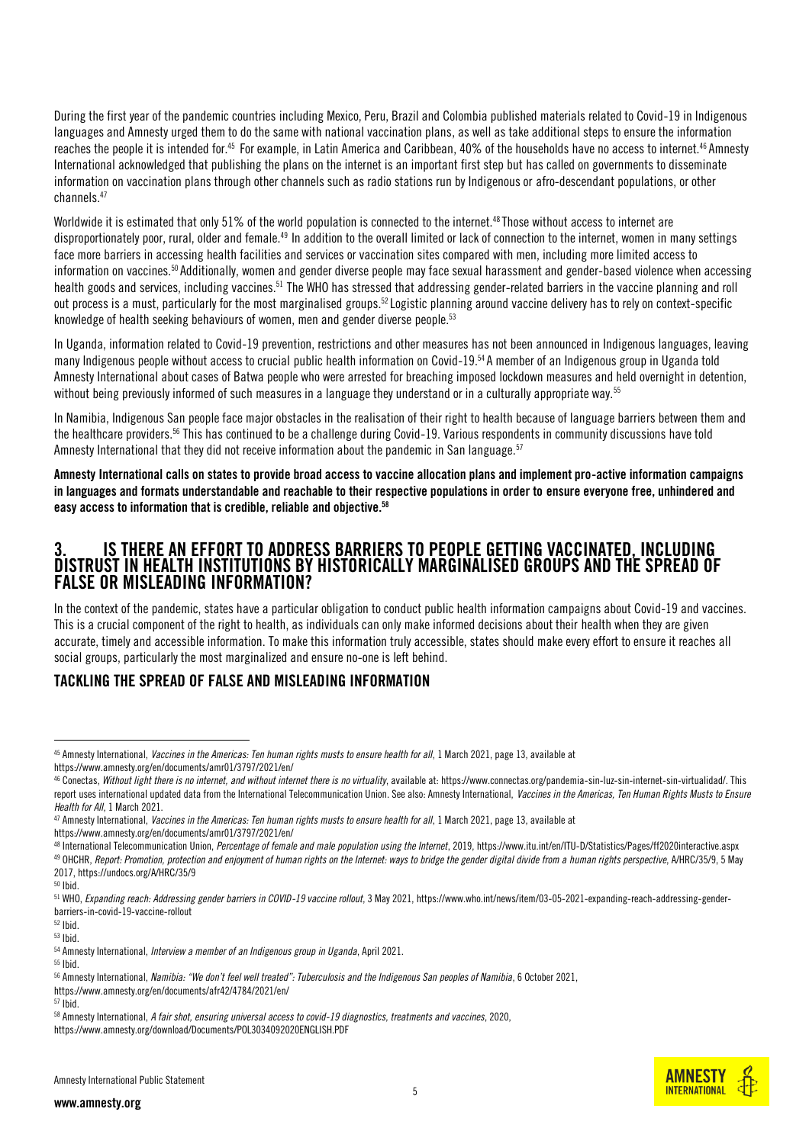During the first year of the pandemic countries including Mexico, Peru, Brazil and Colombia published materials related to Covid-19 in Indigenous languages and Amnesty urged them to do the same with national vaccination plans, as well as take additional steps to ensure the information reaches the people it is intended for.<sup>45</sup> For example, in Latin America and Caribbean, 40% of the households have no access to internet.<sup>46</sup> Amnesty International acknowledged that publishing the plans on the internet is an important first step but has called on governments to disseminate information on vaccination plans through other channels such as radio stations run by Indigenous or afro-descendant populations, or other channels.<sup>47</sup>

Worldwide it is estimated that only 51% of the world population is connected to the internet.<sup>48</sup> Those without access to internet are disproportionately poor, rural, older and female.<sup>49</sup> In addition to the overall limited or lack of connection to the internet, women in many settings face more barriers in accessing health facilities and services or vaccination sites compared with men, including more limited access to information on vaccines.<sup>50</sup> Additionally, women and gender diverse people may face sexual harassment and gender-based violence when accessing health goods and services, including vaccines.<sup>51</sup> The WHO has stressed that addressing gender-related barriers in the vaccine planning and roll out process is a must, particularly for the most marginalised groups.<sup>52</sup> Logistic planning around vaccine delivery has to rely on context-specific knowledge of health seeking behaviours of women, men and gender diverse people. 53

In Uganda, information related to Covid-19 prevention, restrictions and other measures has not been announced in Indigenous languages, leaving many Indigenous people without access to crucial public health information on Covid-19.<sup>54</sup> A member of an Indigenous group in Uganda told Amnesty International about cases of Batwa people who were arrested for breaching imposed lockdown measures and held overnight in detention, without being previously informed of such measures in a language they understand or in a culturally appropriate way.<sup>55</sup>

In Namibia, Indigenous San people face major obstacles in the realisation of their right to health because of language barriers between them and the healthcare providers.<sup>56</sup> This has continued to be a challenge during Covid-19. Various respondents in community discussions have told Amnesty International that they did not receive information about the pandemic in San language.<sup>57</sup>

Amnesty International calls on states to provide broad access to vaccine allocation plans and implement pro-active information campaigns in languages and formats understandable and reachable to their respective populations in order to ensure everyone free, unhindered and easy access to information that is credible, reliable and objective. 58

## 3. IS THERE AN EFFORT TO ADDRESS BARRIERS TO PEOPLE GETTING VACCINATED, INCLUDING DISTRUST IN HEALTH INSTITUTIONS BY HISTORICALLY MARGINALISED GROUPS AND THE SPREAD OF FALSE OR MISLEADING INFORMATION?

In the context of the pandemic, states have a particular obligation to conduct public health information campaigns about Covid-19 and vaccines. This is a crucial component of the right to health, as individuals can only make informed decisions about their health when they are given accurate, timely and accessible information. To make this information truly accessible, states should make every effort to ensure it reaches all social groups, particularly the most marginalized and ensure no-one is left behind.

## TACKLING THE SPREAD OF FALSE AND MISLEADING INFORMATION

 $\overline{a}$ 

<sup>55</sup> Ibid.



<sup>45</sup> Amnesty International, *Vaccines in the Americas: Ten human rights musts to ensure health for all*, 1 March 2021, page 13, available at

<https://www.amnesty.org/en/documents/amr01/3797/2021/en/>

<sup>46</sup> Conectas, *Without light there is no internet, and without internet there is no virtuality*, available at: https://www.connectas.org/pandemia-sin-luz-sin-internet-sin-virtualidad/. This report uses international updated data from the International Telecommunication Union. See also: Amnesty International, *Vaccines in the Americas, Ten Human Rights Musts to Ensure Health for All*, 1 March 2021.

<sup>&</sup>lt;sup>47</sup> Amnesty International, *Vaccines in the Americas: Ten human rights musts to ensure health for all*, 1 March 2021, page 13, available at

<https://www.amnesty.org/en/documents/amr01/3797/2021/en/>

<sup>48</sup> International Telecommunication Union, *Percentage of female and male population using the Internet*, 2019[, https://www.itu.int/en/ITU-D/Statistics/Pages/ff2020interactive.aspx](https://www.itu.int/en/ITU-D/Statistics/Pages/ff2020interactive.aspx) <sup>49</sup> OHCHR, *Report: Promotion, protection and enjoyment of human rights on the Internet: ways to bridge the gender digital divide from a human rights perspective*, A/HRC/35/9, 5 May 2017, https://undocs.org/A/HRC/35/9

 $50$  Ibid.

<sup>51</sup> WHO, *Expanding reach: Addressing gender barriers in COVID-19 vaccine rollout*, 3 May 2021[, https://www.who.int/news/item/03-05-2021-expanding-reach-addressing-gender](https://www.who.int/news/item/03-05-2021-expanding-reach-addressing-gender-barriers-in-covid-19-vaccine-rollout)[barriers-in-covid-19-vaccine-rollout](https://www.who.int/news/item/03-05-2021-expanding-reach-addressing-gender-barriers-in-covid-19-vaccine-rollout)

 $52$  Ihid.

<sup>53</sup> Ibid.

<sup>54</sup> Amnesty International, *Interview a member of an Indigenous group in Uganda*, April 2021.

<sup>56</sup> Amnesty International, *Namibia: "We don't feel well treated": Tuberculosis and the Indigenous San peoples of Namibia*, 6 October 2021,

https://www.amnesty.org/en/documents/afr42/4784/2021/en/  $57$  lbid.

<sup>58</sup> Amnesty International, *A fair shot, ensuring universal access to covid-19 diagnostics, treatments and vaccines*, 2020, <https://www.amnesty.org/download/Documents/POL3034092020ENGLISH.PDF>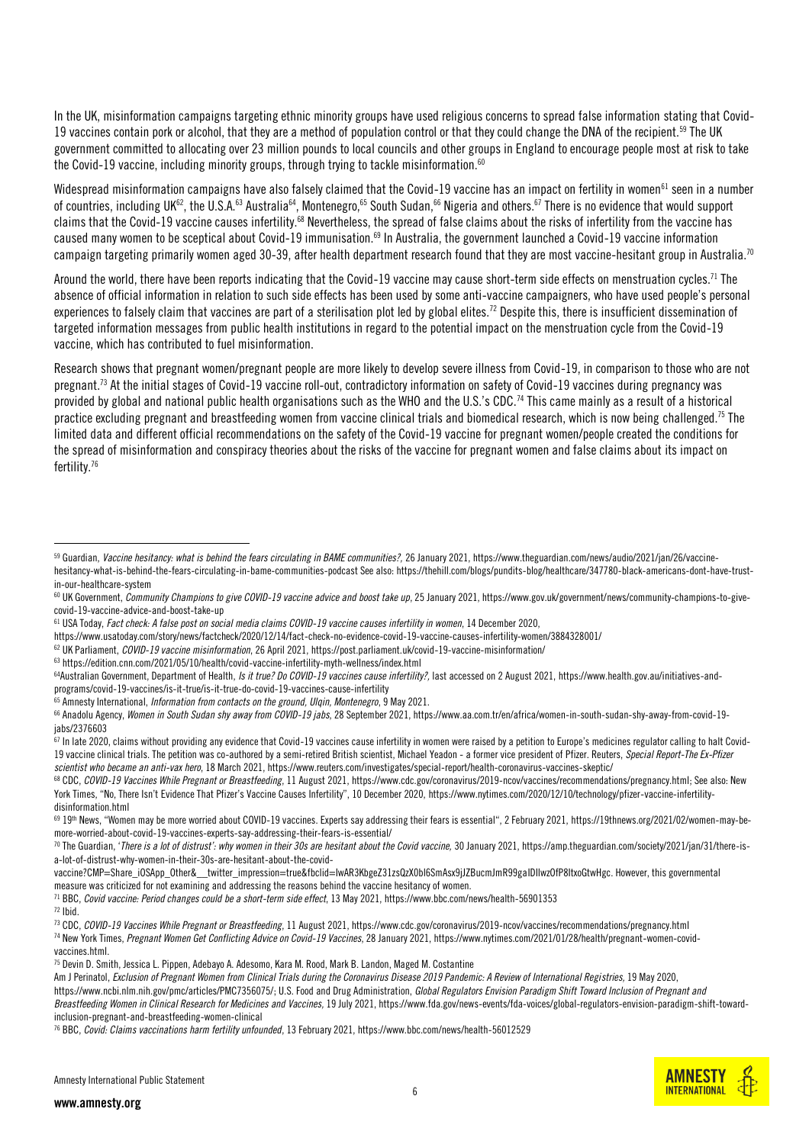In the UK, misinformation campaigns targeting ethnic minority groups have used religious concerns to spread false information stating that Covid-19 vaccines contain pork or alcohol, that they are a method of population control or that they could change the DNA of the recipient.<sup>59</sup> The UK government committed to allocating over 23 million pounds to local councils and other groups in England to encourage people most at risk to take the Covid-19 vaccine, including minority groups, through trying to tackle misinformation.<sup>60</sup>

Widespread misinformation campaigns have also falsely claimed that the Covid-19 vaccine has an impact on fertility in women<sup>61</sup> seen in a number of countries, including UK<sup>62</sup>, the U.S.A.<sup>63</sup> Australia<sup>64</sup>, Montenegro,<sup>65</sup> South Sudan,<sup>66</sup> Nigeria and others.<sup>67</sup> There is no evidence that would support claims that the Covid-19 vaccine causes infertility.<sup>68</sup> Nevertheless, the spread of false claims about the risks of infertility from the vaccine has caused many women to be sceptical about Covid-19 immunisation.<sup>69</sup> In Australia, the government launched a Covid-19 vaccine information campaign targeting primarily women aged 30-39, after health department research found that they are most vaccine-hesitant group in Australia.<sup>70</sup>

Around the world, there have been reports indicating that the Covid-19 vaccine may cause short-term side effects on menstruation cycles.<sup>71</sup> The absence of official information in relation to such side effects has been used by some anti-vaccine campaigners, who have used people's personal experiences to falsely claim that vaccines are part of a sterilisation plot led by global elites.<sup>72</sup> Despite this, there is insufficient dissemination of targeted information messages from public health institutions in regard to the potential impact on the menstruation cycle from the Covid-19 vaccine, which has contributed to fuel misinformation.

Research shows that pregnant women/pregnant people are more likely to develop severe illness from Covid-19, in comparison to those who are not pregnant.<sup>73</sup> At the initial stages of Covid-19 vaccine roll-out, contradictory information on safety of Covid-19 vaccines during pregnancy was provided by global and national public health organisations such as the WHO and the U.S.'s CDC.<sup>74</sup> This came mainly as a result of a historical practice excluding pregnant and breastfeeding women from vaccine clinical trials and biomedical research, which is now being challenged.<sup>75</sup> The limited data and different official recommendations on the safety of the Covid-19 vaccine for pregnant women/people created the conditions for the spread of misinformation and conspiracy theories about the risks of the vaccine for pregnant women and false claims about its impact on fertility.<sup>76</sup>

<sup>63</sup> https://edition.cnn.com/2021/05/10/health/covid-vaccine-infertility-myth-wellness/index.html

vaccine?CMP=Share\_iOSApp\_Other&\_\_twitter\_impression=true&fbclid=IwAR3KbgeZ31zsQzX0bl6SmAsx9iJZBucmJmR99gaIDIIwzOfP8ItxoGtwHgc. However, this governmental measure was criticized for not examining and addressing the reasons behind the vaccine hesitancy of women.

<sup>71</sup> BBC, *Covid vaccine: Period changes could be a short-term side effect*, 13 May 2021, https://www.bbc.com/news/health-56901353



<sup>&</sup>lt;sup>59</sup> Guardian, Vaccine hesitancy: what is behind the fears circulating in BAME communities?, 26 January 2021[, https://www.theguardian.com/news/audio/2021/jan/26/vaccine](https://www.theguardian.com/news/audio/2021/jan/26/vaccine-hesitancy-what-is-behind-the-fears-circulating-in-bame-communities-podcast)[hesitancy-what-is-behind-the-fears-circulating-in-bame-communities-podcast](https://www.theguardian.com/news/audio/2021/jan/26/vaccine-hesitancy-what-is-behind-the-fears-circulating-in-bame-communities-podcast) See also[: https://thehill.com/blogs/pundits-blog/healthcare/347780-black-americans-dont-have-trust](https://thehill.com/blogs/pundits-blog/healthcare/347780-black-americans-dont-have-trust-in-our-healthcare-system)[in-our-healthcare-system](https://thehill.com/blogs/pundits-blog/healthcare/347780-black-americans-dont-have-trust-in-our-healthcare-system)

<sup>&</sup>lt;sup>60</sup> UK Government, *Community Champions to give COVID-19 vaccine advice and boost take up*, 25 January 2021, https://www.gov.uk/government/news/community-champions-to-givecovid-19-vaccine-advice-and-boost-take-up

<sup>61</sup> USA Today, *Fact check: A false post on social media claims COVID-19 vaccine causes infertility in women*, 14 December 2020,

<https://www.usatoday.com/story/news/factcheck/2020/12/14/fact-check-no-evidence-covid-19-vaccine-causes-infertility-women/3884328001/>

<sup>62</sup> UK Parliament, *COVID-19 vaccine misinformation*, 26 April 2021, https://post.parliament.uk/covid-19-vaccine-misinformation/

<sup>&</sup>lt;sup>64</sup>Australian Government, Department of Health, *Is it true? Do COVID-19 vaccines cause infertility?*, last accessed on 2 August 2021[, https://www.health.gov.au/initiatives-and](https://www.health.gov.au/initiatives-and-programs/covid-19-vaccines/is-it-true/is-it-true-do-covid-19-vaccines-cause-infertility)[programs/covid-19-vaccines/is-it-true/is-it-true-do-covid-19-vaccines-cause-infertility](https://www.health.gov.au/initiatives-and-programs/covid-19-vaccines/is-it-true/is-it-true-do-covid-19-vaccines-cause-infertility)

<sup>65</sup> Amnesty International, *Information from contacts on the ground, Ulqin, Montenegro*, 9 May 2021.

<sup>66</sup> Anadolu Agency, *Women in South Sudan shy away from COVID-19 jabs*, 28 September 2021, https://www.aa.com.tr/en/africa/women-in-south-sudan-shy-away-from-covid-19 jabs/2376603

 $\frac{2}{67}$  In late 2020, claims without providing any evidence that Covid-19 vaccines cause infertility in women were raised by a petition to Europe's medicines regulator calling to halt Covid-19 vaccine clinical trials. The petition was co-authored by a semi-retired British scientist, Michael Yeadon - a former vice president of Pfizer. Reuters, *Special Report-The Ex-Pfizer scientist who became an anti-vax hero*, 18 March 2021, https://www.reuters.com/investigates/special-report/health-coronavirus-vaccines-skeptic/

<sup>68</sup> CDC, *COVID-19 Vaccines While Pregnant or Breastfeeding*, 11 August 2021[, https://www.cdc.gov/coronavirus/2019-ncov/vaccines/recommendations/pregnancy.html;](https://www.cdc.gov/coronavirus/2019-ncov/vaccines/recommendations/pregnancy.html) See also: New York Times, "No, There Isn't Evidence That Pfizer's Vaccine Causes Infertility", 10 December 2020, [https://www.nytimes.com/2020/12/10/technology/pfizer-vaccine-infertility](https://www.nytimes.com/2020/12/10/technology/pfizer-vaccine-infertility-disinformation.html)[disinformation.html](https://www.nytimes.com/2020/12/10/technology/pfizer-vaccine-infertility-disinformation.html)

<sup>69</sup> 19th News, "Women may be more worried about COVID-19 vaccines. Experts say addressing their fears is essential", 2 February 2021, [https://19thnews.org/2021/02/women-may-be](https://19thnews.org/2021/02/women-may-be-more-worried-about-covid-19-vaccines-experts-say-addressing-their-fears-is-essential/)[more-worried-about-covid-19-vaccines-experts-say-addressing-their-fears-is-essential/](https://19thnews.org/2021/02/women-may-be-more-worried-about-covid-19-vaccines-experts-say-addressing-their-fears-is-essential/)

<sup>&</sup>lt;sup>70</sup> The Guardian, '*There is a lot of distrust': why women in their 30s are hesitant about the Covid vaccine, 30 January 2021[, https://amp.theguardian.com/society/2021/jan/31/there-is](https://amp.theguardian.com/society/2021/jan/31/there-is-a-lot-of-distrust-why-women-in-their-30s-are-hesitant-about-the-covid-vaccine?CMP=Share_iOSApp_Other&__twitter_impression=true&fbclid=IwAR3KbgeZ31zsQzX0bl6SmAsx9jJZBucmJmR99gaIDIlwzOfP8ItxoGtwHgc)*[a-lot-of-distrust-why-women-in-their-30s-are-hesitant-about-the-covid-](https://amp.theguardian.com/society/2021/jan/31/there-is-a-lot-of-distrust-why-women-in-their-30s-are-hesitant-about-the-covid-vaccine?CMP=Share_iOSApp_Other&__twitter_impression=true&fbclid=IwAR3KbgeZ31zsQzX0bl6SmAsx9jJZBucmJmR99gaIDIlwzOfP8ItxoGtwHgc)

<sup>72</sup> Ibid.

<sup>73</sup> CDC, *COVID-19 Vaccines While Pregnant or Breastfeeding*, 11 August 2021, https://www.cdc.gov/coronavirus/2019-ncov/vaccines/recommendations/pregnancy.html <sup>74</sup> New York Times, *Pregnant Women Get Conflicting Advice on Covid-19 Vaccines*, 28 January 2021[, https://www.nytimes.com/2021/01/28/health/pregnant-women-covid](https://www.nytimes.com/2021/01/28/health/pregnant-women-covid-vaccines.html)[vaccines.html.](https://www.nytimes.com/2021/01/28/health/pregnant-women-covid-vaccines.html)

<sup>75</sup> Devin D. Smith, Jessica L. Pippen, Adebayo A. Adesomo, Kara M. Rood, Mark B. Landon, Maged M. Costantine

Am J Perinatol, *Exclusion of Pregnant Women from Clinical Trials during the Coronavirus Disease 2019 Pandemic: A Review of International Registries,* 19 May 2020, [https://www.ncbi.nlm.nih.gov/pmc/articles/PMC7356075/;](https://www.ncbi.nlm.nih.gov/pmc/articles/PMC7356075/) U.S. Food and Drug Administration, *Global Regulators Envision Paradigm Shift Toward Inclusion of Pregnant and Breastfeeding Women in Clinical Research for Medicines and Vaccines,* 19 July 2021, https://www.fda.gov/news-events/fda-voices/global-regulators-envision-paradigm-shift-towardinclusion-pregnant-and-breastfeeding-women-clinical

<sup>76</sup> BBC, *Covid: Claims vaccinations harm fertility unfounded*, 13 February 2021, https://www.bbc.com/news/health-56012529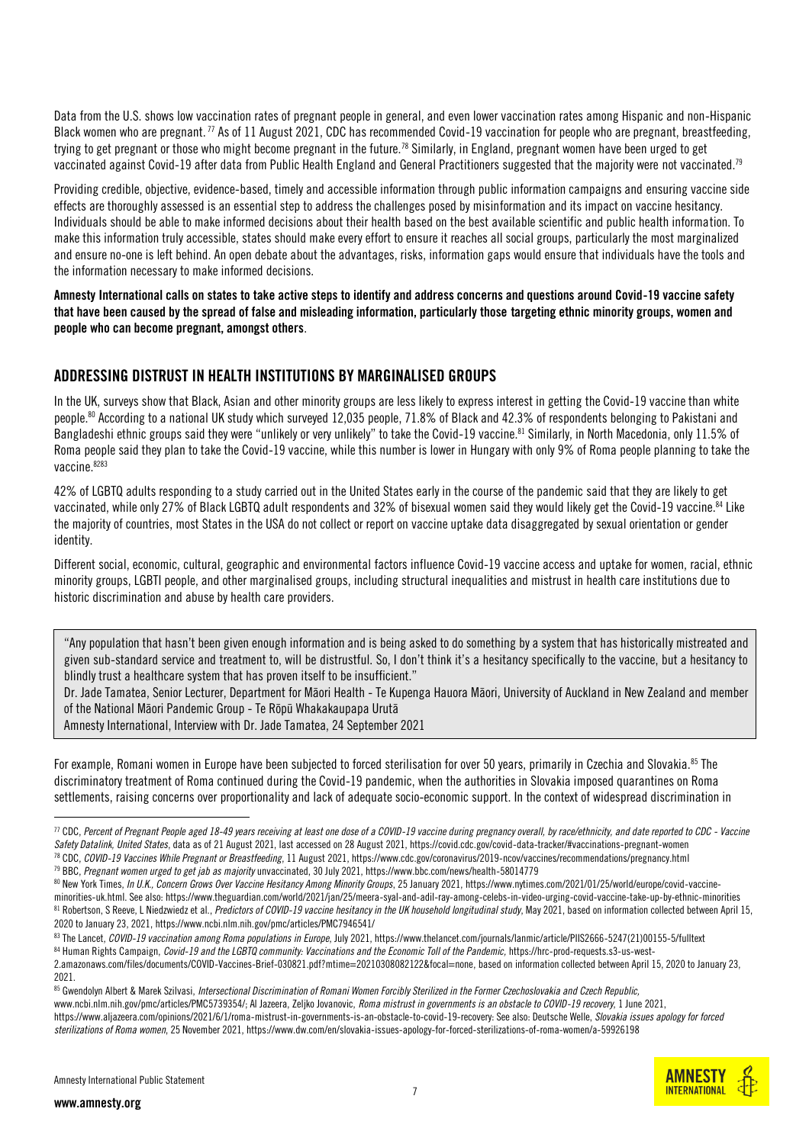Data from the U.S. shows low vaccination rates of pregnant people in general, and even lower vaccination rates among Hispanic and non-Hispanic Black women who are pregnant.<sup>77</sup> As of 11 August 2021, CDC has recommended Covid-19 vaccination for people who are pregnant, breastfeeding, trying to get pregnant or those who might become pregnant in the future.<sup>78</sup> Similarly, in England, pregnant women have been urged to get vaccinated against Covid-19 after data from Public Health England and General Practitioners suggested that the majority were not vaccinated.<sup>79</sup>

Providing credible, objective, evidence-based, timely and accessible information through public information campaigns and ensuring vaccine side effects are thoroughly assessed is an essential step to address the challenges posed by misinformation and its impact on vaccine hesitancy. Individuals should be able to make informed decisions about their health based on the best available scientific and public health information. To make this information truly accessible, states should make every effort to ensure it reaches all social groups, particularly the most marginalized and ensure no-one is left behind. An open debate about the advantages, risks, information gaps would ensure that individuals have the tools and the information necessary to make informed decisions.

Amnesty International calls on states to take active steps to identify and address concerns and questions around Covid-19 vaccine safety that have been caused by the spread of false and misleading information, particularly those targeting ethnic minority groups, women and people who can become pregnant, amongst others.

#### ADDRESSING DISTRUST IN HEALTH INSTITUTIONS BY MARGINALISED GROUPS

In the UK, surveys show that Black, Asian and other minority groups are less likely to express interest in getting the Covid-19 vaccine than white people.<sup>80</sup> According to a national UK study which surveyed 12,035 people, 71.8% of Black and 42.3% of respondents belonging to Pakistani and Bangladeshi ethnic groups said they were "unlikely or very unlikely" to take the Covid-19 vaccine.<sup>81</sup> Similarly, in North Macedonia, only 11.5% of Roma people said they plan to take the Covid-19 vaccine, while this number is lower in Hungary with only 9% of Roma people planning to take the vaccine. 8283

42% of LGBTQ adults responding to a study carried out in the United States early in the course of the pandemic said that they are likely to get vaccinated, while only 27% of Black LGBTQ adult respondents and 32% of bisexual women said they would likely get the Covid-19 vaccine.<sup>84</sup> Like the majority of countries, most States in the USA do not collect or report on vaccine uptake data disaggregated by sexual orientation or gender identity.

Different social, economic, cultural, geographic and environmental factors influence Covid-19 vaccine access and uptake for women, racial, ethnic minority groups, LGBTI people, and other marginalised groups, including structural inequalities and mistrust in health care institutions due to historic discrimination and abuse by health care providers.

"Any population that hasn't been given enough information and is being asked to do something by a system that has historically mistreated and given sub-standard service and treatment to, will be distrustful. So, I don't think it's a hesitancy specifically to the vaccine, but a hesitancy to blindly trust a healthcare system that has proven itself to be insufficient."

Dr. Jade Tamatea, Senior Lecturer, Department for Māori Health - Te Kupenga Hauora Māori, University of Auckland in New Zealand and member of the National Māori Pandemic Group - Te Rōpū Whakakaupapa Urutā

Amnesty International, Interview with Dr. Jade Tamatea, 24 September 2021

For example, Romani women in Europe have been subjected to forced sterilisation for over 50 years, primarily in Czechia and Slovakia.85 The discriminatory treatment of Roma continued during the Covid-19 pandemic, when the authorities in Slovakia imposed quarantines on Roma settlements, raising concerns over proportionality and lack of adequate socio-economic support. In the context of widespread discrimination in

<sup>79</sup> BBC, *Pregnant women urged to get jab as majority* unvaccinated, 30 July 2021, https://www.bbc.com/news/health-58014779



<sup>77</sup> CDC, *Percent of Pregnant People aged 18-49 years receiving at least one dose of a COVID-19 vaccine during pregnancy overall, by race/ethnicity, and date reported to CDC - Vaccine Safety Datalink, United States*, data as of 21 August 2021, last accessed on 28 August 2021, https://covid.cdc.gov/covid-data-tracker/#vaccinations-pregnant-women <sup>78</sup> CDC, *COVID-19 Vaccines While Pregnant or Breastfeeding*, 11 August 2021, https://www.cdc.gov/coronavirus/2019-ncov/vaccines/recommendations/pregnancy.html

<sup>80</sup> New York Times, In U.K., Concern Grows Over Vaccine Hesitancy Among Minority Groups, 25 January 2021[, https://www.nytimes.com/2021/01/25/world/europe/covid-vaccine](https://www.nytimes.com/2021/01/25/world/europe/covid-vaccine-minorities-uk.html)[minorities-uk.html.](https://www.nytimes.com/2021/01/25/world/europe/covid-vaccine-minorities-uk.html) See also[: https://www.theguardian.com/world/2021/jan/25/meera-syal-and-adil-ray-among-celebs-in-video-urging-covid-vaccine-take-up-by-ethnic-minorities](https://www.theguardian.com/world/2021/jan/25/meera-syal-and-adil-ray-among-celebs-in-video-urging-covid-vaccine-take-up-by-ethnic-minorities) <sup>81</sup> Robertson, S Reeve, L Niedzwiedz et al., *Predictors of COVID-19 vaccine hesitancy in the UK household longitudinal study*, May 2021, based on information collected between April 15, 2020 to January 23, 2021[, https://www.ncbi.nlm.nih.gov/pmc/articles/PMC7946541/](https://www.ncbi.nlm.nih.gov/pmc/articles/PMC7946541/)

<sup>83</sup> The Lancet, *COVID-19 vaccination among Roma populations in Europe*, July 2021, https://www.thelancet.com/journals/lanmic/article/PIIS2666-5247(21)00155-5/fulltext 84 Human Rights Campaign, *Covid-19 and the LGBTQ community: Vaccinations and the Economic Toll of the Pandemic*, [https://hrc-prod-requests.s3-us-west-](https://hrc-prod-requests.s3-us-west-2.amazonaws.com/files/documents/COVID-Vaccines-Brief-030821.pdf?mtime=20210308082122&focal=none)

[<sup>2.</sup>amazonaws.com/files/documents/COVID-Vaccines-Brief-030821.pdf?mtime=20210308082122&focal=none,](https://hrc-prod-requests.s3-us-west-2.amazonaws.com/files/documents/COVID-Vaccines-Brief-030821.pdf?mtime=20210308082122&focal=none) based on information collected between April 15, 2020 to January 23, 2021.

<sup>85</sup> Gwendolyn Albert & Marek Szilvasi, *Intersectional Discrimination of Romani Women Forcibly Sterilized in the Former Czechoslovakia and Czech Republic.* www.ncbi.nlm.nih.gov/pmc/articles/PMC5739354/; Al Jazeera, Zeljko Jovanovic, *Roma mistrust in governments is an obstacle to COVID-19 recovery*, 1 June 2021, [https://www.aljazeera.com/opinions/2021/6/1/roma-mistrust-in-governments-is-an-obstacle-to-covid-19-recovery:](https://www.aljazeera.com/opinions/2021/6/1/roma-mistrust-in-governments-is-an-obstacle-to-covid-19-recovery) See also: Deutsche Welle, *Slovakia issues apology for forced sterilizations of Roma women*, 25 November 2021, https://www.dw.com/en/slovakia-issues-apology-for-forced-sterilizations-of-roma-women/a-59926198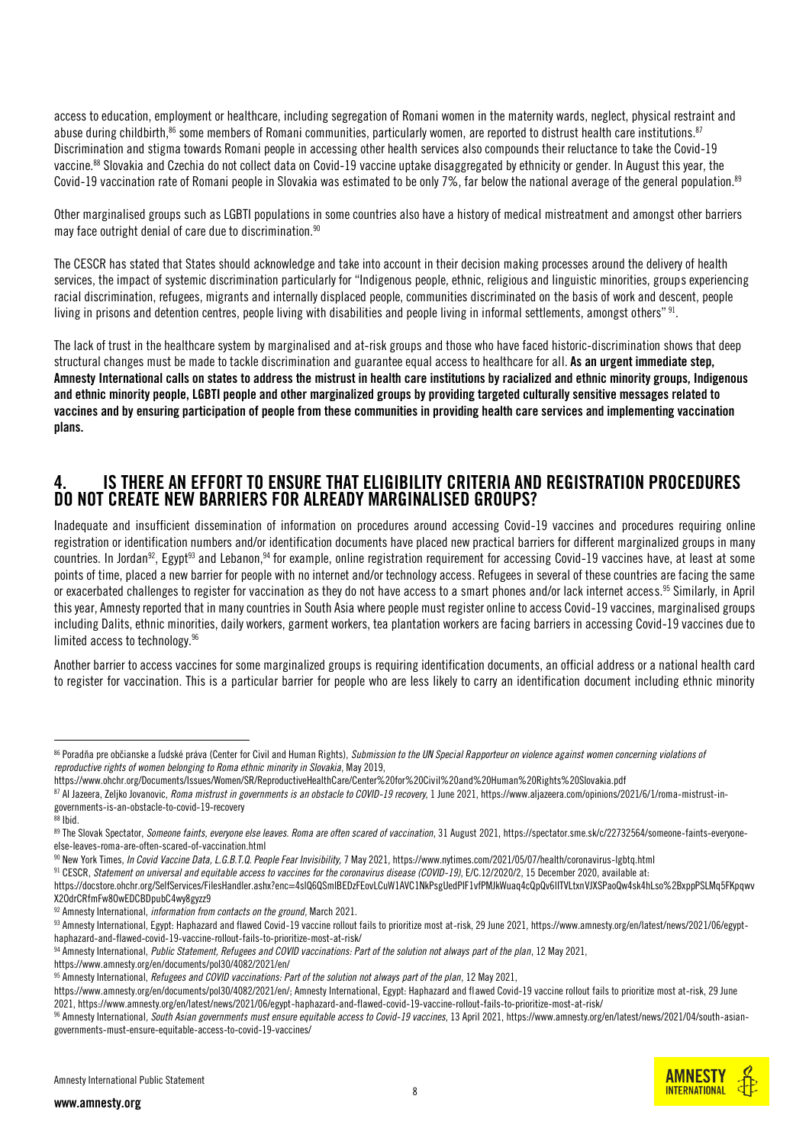access to education, employment or healthcare, including segregation of Romani women in the maternity wards, neglect, physical restraint and abuse during childbirth, $^{86}$  some members of Romani communities, particularly women, are reported to distrust health care institutions. $^{87}$ Discrimination and stigma towards Romani people in accessing other health services also compounds their reluctance to take the Covid-19 vaccine.<sup>88</sup> Slovakia and Czechia do not collect data on Covid-19 vaccine uptake disaggregated by ethnicity or gender. In August this year, the Covid-19 vaccination rate of Romani people in Slovakia was estimated to be only 7%, far below the national average of the general population.<sup>89</sup>

Other marginalised groups such as LGBTI populations in some countries also have a history of medical mistreatment and amongst other barriers may face outright denial of care due to discrimination.<sup>90</sup>

The CESCR has stated that States should acknowledge and take into account in their decision making processes around the delivery of health services, the impact of systemic discrimination particularly for "Indigenous people, ethnic, religious and linguistic minorities, groups experiencing racial discrimination, refugees, migrants and internally displaced people, communities discriminated on the basis of work and descent, people living in prisons and detention centres, people living with disabilities and people living in informal settlements, amongst others"  $^{\rm 91}$ .

The lack of trust in the healthcare system by marginalised and at-risk groups and those who have faced historic-discrimination shows that deep structural changes must be made to tackle discrimination and guarantee equal access to healthcare for all. As an urgent immediate step, Amnesty International calls on states to address the mistrust in health care institutions by racialized and ethnic minority groups, Indigenous and ethnic minority people, LGBTI people and other marginalized groups by providing targeted culturally sensitive messages related to vaccines and by ensuring participation of people from these communities in providing health care services and implementing vaccination plans.

## 4. IS THERE AN EFFORT TO ENSURE THAT ELIGIBILITY CRITERIA AND REGISTRATION PROCEDURES DO NOT CREATE NEW BARRIERS FOR ALREADY MARGINALISED GROUPS?

Inadequate and insufficient dissemination of information on procedures around accessing Covid-19 vaccines and procedures requiring online registration or identification numbers and/or identification documents have placed new practical barriers for different marginalized groups in many countries. In Jordan<sup>92</sup>, Egypt<sup>93</sup> and Lebanon,<sup>94</sup> for example, online registration requirement for accessing Covid-19 vaccines have, at least at some points of time, placed a new barrier for people with no internet and/or technology access. Refugees in several of these countries are facing the same or exacerbated challenges to register for vaccination as they do not have access to a smart phones and/or lack internet access.<sup>95</sup> Similarly, in April this year, Amnesty reported that in many countries in South Asiawhere people must register online to access Covid-19 vaccines, marginalised groups including Dalits, ethnic minorities, daily workers, garment workers, tea plantation workers are facing barriers in accessing Covid-19 vaccines due to limited access to technology.<sup>96</sup>

Another barrier to access vaccines for some marginalized groups is requiring identification documents, an official address or a national health card to register for vaccination. This is a particular barrier for people who are less likely to carry an identification document including ethnic minority

 $\overline{a}$ 

https://www.amnesty.org/en/documents/pol30/4082/2021/en/

**INTERNATIONAL** 

<sup>86</sup> Poradňa pre občianske a ľudské práva (Center for Civil and Human Rights), *Submission to the UN Special Rapporteur on violence against women concerning violations of reproductive rights of women belonging to Roma ethnic minority in Slovakia*, May 2019,

https://www.ohchr.org/Documents/Issues/Women/SR/ReproductiveHealthCare/Center%20for%20Civil%20and%20Human%20Rights%20Slovakia.pdf

<sup>87</sup> Al Jazeera, Zeljko Jovanovic, Roma mistrust in governments is an obstacle to COVID-19 recovery, 1 June 2021, https://www.aljazeera.com/opinions/2021/6/1/roma-mistrust-ingovernments-is-an-obstacle-to-covid-19-recovery

<sup>88</sup> Ibid.

<sup>89</sup> The Slovak Spectator, Someone faints, everyone else leaves. Roma are often scared of vaccination, 31 August 2021, https://spectator.sme.sk/c/22732564/someone-faints-everyoneelse-leaves-roma-are-often-scared-of-vaccination.html

<sup>90</sup> New York Times, *In Covid Vaccine Data, L.G.B.T.Q. People Fear Invisibility, 7 May 2021*, https://www.nytimes.com/2021/05/07/health/coronavirus-Igbtq.html

<sup>91</sup> CESCR, *Statement on universal and equitable access to vaccines for the coronavirus disease (COVID-19)*, E/C.12/2020/2, 15 December 2020, available at:

[https://docstore.ohchr.org/SelfServices/FilesHandler.ashx?enc=4slQ6QSmlBEDzFEovLCuW1AVC1NkPsgUedPlF1vfPMJkWuaq4cQpQv6lITVLtxnVJXSPaoQw4sk4hLso%2BxppPSLMq5FKpqwv](https://docstore.ohchr.org/SelfServices/FilesHandler.ashx?enc=4slQ6QSmlBEDzFEovLCuW1AVC1NkPsgUedPlF1vfPMJkWuaq4cQpQv6lITVLtxnVJXSPaoQw4sk4hLso%2BxppPSLMq5FKpqwvX2OdrCRfmFw8OwEDCBDpubC4wy8gyzz9) [X2OdrCRfmFw8OwEDCBDpubC4wy8gyzz9](https://docstore.ohchr.org/SelfServices/FilesHandler.ashx?enc=4slQ6QSmlBEDzFEovLCuW1AVC1NkPsgUedPlF1vfPMJkWuaq4cQpQv6lITVLtxnVJXSPaoQw4sk4hLso%2BxppPSLMq5FKpqwvX2OdrCRfmFw8OwEDCBDpubC4wy8gyzz9)

<sup>92</sup> Amnesty International, *information from contacts on the ground*, March 2021.

<sup>93</sup> Amnesty International, Egypt: Haphazard and flawed Covid-19 vaccine rollout fails to prioritize most at-risk, 29 June 2021, https://www.amnesty.org/en/latest/news/2021/06/egypthaphazard-and-flawed-covid-19-vaccine-rollout-fails-to-prioritize-most-at-risk/

<sup>94</sup> Amnesty International, *Public Statement, Refugees and COVID vaccinations: Part of the solution not always part of the plan*, 12 May 2021,

<sup>95</sup> Amnesty International, *Refugees and COVID vaccinations: Part of the solution not always part of the plan*, 12 May 2021,

https://www.amnesty.org/en/documents/pol30/4082/2021/en/; Amnesty International, Egypt: Haphazard and flawed Covid-19 vaccine rollout fails to prioritize most at-risk, 29 June 2021, https://www.amnesty.org/en/latest/news/2021/06/egypt-haphazard-and-flawed-covid-19-vaccine-rollout-fails-to-prioritize-most-at-risk/

<sup>96</sup> Amnesty International*, South Asian governments must ensure equitable access to Covid-19 vaccines*, 13 April 2021, https://www.amnesty.org/en/latest/news/2021/04/south-asiangovernments-must-ensure-equitable-access-to-covid-19-vaccines/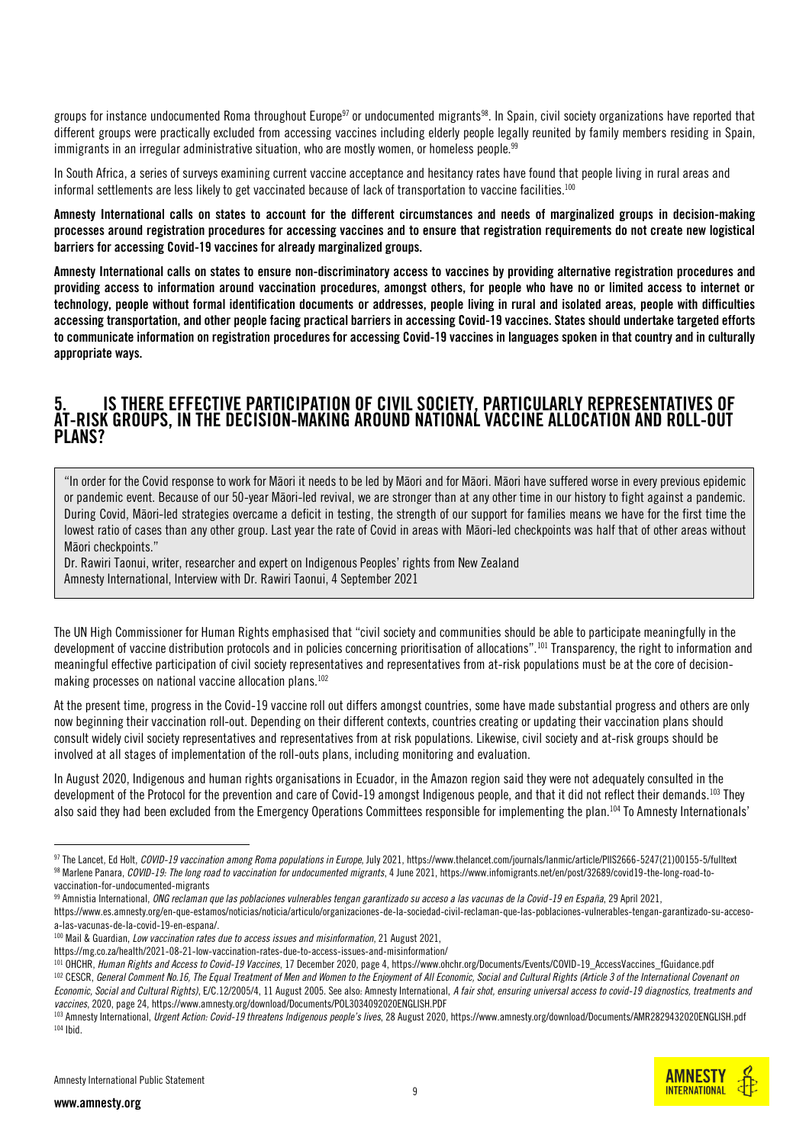groups for instance undocumented Roma throughout Europe<sup>97</sup> or undocumented migrants<sup>98</sup>. In Spain, civil society organizations have reported that different groups were practically excluded from accessing vaccines including elderly people legally reunited by family members residing in Spain, immigrants in an irregular administrative situation, who are mostly women, or homeless people.<sup>99</sup>

In South Africa, a series of surveys examining current vaccine acceptance and hesitancy rates have found that people living in rural areas and informal settlements are less likely to get vaccinated because of lack of transportation to vaccine facilities.<sup>100</sup>

Amnesty International calls on states to account for the different circumstances and needs of marginalized groups in decision-making processes around registration procedures for accessing vaccines and to ensure that registration requirements do not create new logistical barriers for accessing Covid-19 vaccines for already marginalized groups.

Amnesty International calls on states to ensure non-discriminatory access to vaccines by providing alternative registration procedures and providing access to information around vaccination procedures, amongst others, for people who have no or limited access to internet or technology, people without formal identification documents or addresses, people living in rural and isolated areas, people with difficulties accessing transportation, and other people facing practical barriers in accessing Covid-19 vaccines. States should undertake targeted efforts to communicate information on registration procedures for accessing Covid-19 vaccines in languages spoken in that country and in culturally appropriate ways.

## 5. IS THERE EFFECTIVE PARTICIPATION OF CIVIL SOCIETY, PARTICULARLY REPRESENTATIVES OF AT-RISK GROUPS, IN THE DECISION-MAKING AROUND NATIONAL VACCINE ALLOCATION AND ROLL-OUT PLANS?

"In order for the Covid response to work for Māori it needs to be led by Māori and for Māori. Māori have suffered worse in every previous epidemic or pandemic event. Because of our 50-year Māori-led revival, we are stronger than at any other time in our history to fight against a pandemic. During Covid, Māori-led strategies overcame a deficit in testing, the strength of our support for families means we have for the first time the lowest ratio of cases than any other group. Last year the rate of Covid in areas with Māori-led checkpoints was half that of other areas without Māori checkpoints."

Dr. Rawiri Taonui, writer, researcher and expert on Indigenous Peoples' rights from New Zealand Amnesty International, Interview with Dr. Rawiri Taonui, 4 September 2021

The UN High Commissioner for Human Rights emphasised that "civil society and communities should be able to participate meaningfully in the development of vaccine distribution protocols and in policies concerning prioritisation of allocations".<sup>101</sup> Transparency, the right to information and meaningful effective participation of civil society representatives and representatives from at-risk populations must be at the core of decisionmaking processes on national vaccine allocation plans.<sup>102</sup>

At the present time, progress in the Covid-19 vaccine roll out differs amongst countries, some have made substantial progress and others are only now beginning their vaccination roll-out. Depending on their different contexts, countries creating or updating their vaccination plans should consult widely civil society representatives and representatives from at risk populations. Likewise, civil society and at-risk groups should be involved at all stages of implementation of the roll-outs plans, including monitoring and evaluation.

In August 2020, Indigenous and human rights organisations in Ecuador, in the Amazon region said they were not adequately consulted in the development of the Protocol for the prevention and care of Covid-19 amongst Indigenous people, and that it did not reflect their demands.<sup>103</sup> They also said they had been excluded from the Emergency Operations Committees responsible for implementing the plan.<sup>104</sup> To Amnesty Internationals'



<sup>97</sup> The Lancet, Ed Holt, *COVID-19 vaccination among Roma populations in Europe*, July 2021, https://www.thelancet.com/journals/lanmic/article/PIIS2666-5247(21)00155-5/fulltext <sup>98</sup> Marlene Panara, *COVID-19: The long road to vaccination for undocumented migrants*, 4 June 2021, https://www.infomigrants.net/en/post/32689/covid19-the-long-road-tovaccination-for-undocumented-migrants

<sup>99</sup> Amnistia International, *ONG reclaman que las poblaciones vulnerables tengan garantizado su acceso a las vacunas de la Covid-19 en España*, 29 April 2021,

[https://www.es.amnesty.org/en-que-estamos/noticias/noticia/articulo/organizaciones-de-la-sociedad-civil-reclaman-que-las-poblaciones-vulnerables-tengan-garantizado-su-acceso](https://www.es.amnesty.org/en-que-estamos/noticias/noticia/articulo/organizaciones-de-la-sociedad-civil-reclaman-que-las-poblaciones-vulnerables-tengan-garantizado-su-acceso-a-las-vacunas-de-la-covid-19-en-espana/)[a-las-vacunas-de-la-covid-19-en-espana/.](https://www.es.amnesty.org/en-que-estamos/noticias/noticia/articulo/organizaciones-de-la-sociedad-civil-reclaman-que-las-poblaciones-vulnerables-tengan-garantizado-su-acceso-a-las-vacunas-de-la-covid-19-en-espana/)

<sup>100</sup> Mail & Guardian, *Low vaccination rates due to access issues and misinformation*, 21 August 2021,

https://mg.co.za/health/2021-08-21-low-vaccination-rates-due-to-access-issues-and-misinformation/

<sup>101</sup> OHCHR, *Human Rights and Access to Covid-19 Vaccines*, 17 December 2020, page 4[, https://www.ohchr.org/Documents/Events/COVID-19\\_AccessVaccines\\_fGuidance.pdf](https://www.ohchr.org/Documents/Events/COVID-19_AccessVaccines_fGuidance.pdf) <sup>102</sup> CESCR, General Comment No.16, The Equal Treatment of Men and Women to the Enjoyment of All Economic, Social and Cultural Rights (Article 3 of the International Covenant on *Economic, Social and Cultural Rights)*, E/C.12/2005/4, 11 August 2005. See also: Amnesty International, *A fair shot, ensuring universal access to covid-19 diagnostics, treatments and vaccines*, 2020, page 24[, https://www.amnesty.org/download/Documents/POL3034092020ENGLISH.PDF](https://www.amnesty.org/download/Documents/POL3034092020ENGLISH.PDF)

<sup>103</sup> Amnesty International, *Urgent Action: Covid-19 threatens Indigenous people's lives*, 28 August 2020, https://www.amnesty.org/download/Documents/AMR2829432020ENGLISH.pdf <sup>104</sup> Ibid.